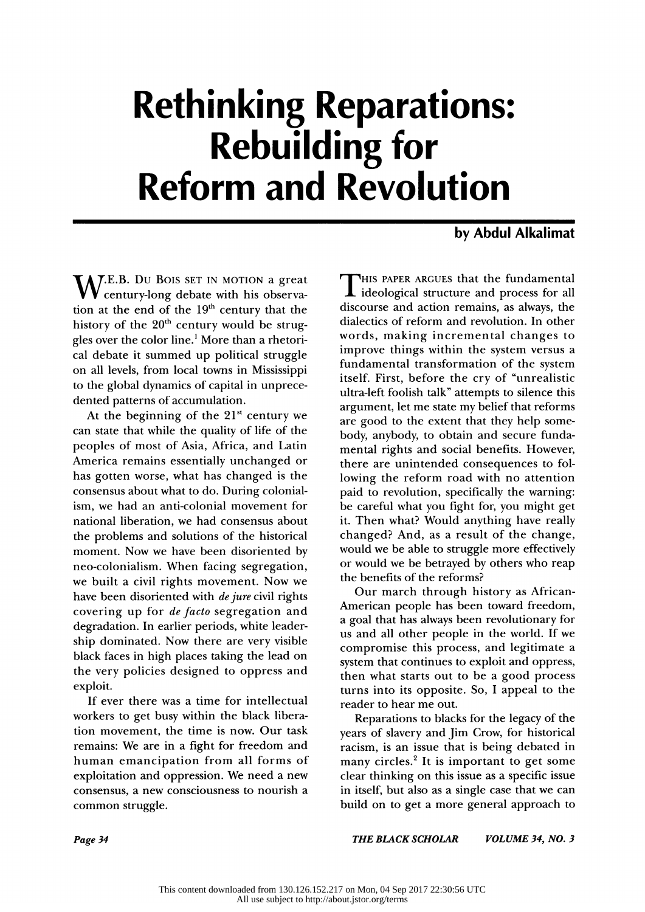# Rethinking Reparations: Rebuilding for Reform and Revolution

### by Abdul Alkalimat

.E.B. Du Bois set in motion a great century-long debate with his observa tion at the end of the  $19<sup>th</sup>$  century that the history of the  $20<sup>th</sup>$  century would be struggles over the color line.<sup>1</sup> More than a rhetori cal debate it summed up political struggle on all levels, from local towns in Mississippi to the global dynamics of capital in unprece dented patterns of accumulation.

At the beginning of the  $21<sup>st</sup>$  century we can state that while the quality of life of the peoples of most of Asia, Africa, and Latin America remains essentially unchanged or has gotten worse, what has changed is the consensus about what to do. During colonial ism, we had an anti-colonial movement for national liberation, we had consensus about the problems and solutions of the historical moment. Now we have been disoriented by neo-colonialism. When facing segregation, we built a civil rights movement. Now we have been disoriented with de jure civil rights covering up for de facto segregation and degradation. In earlier periods, white leader ship dominated. Now there are very visible black faces in high places taking the lead on the very policies designed to oppress and exploit.

 If ever there was a time for intellectual workers to get busy within the black libera tion movement, the time is now. Our task remains: We are in a fight for freedom and human emancipation from all forms of exploitation and oppression. We need a new consensus, a new consciousness to nourish a common struggle.

HIS PAPER ARGUES that the fundamental ideological structure and process for all discourse and action remains, as always, the dialectics of reform and revolution. In other words, making incremental changes to improve things within the system versus a fundamental transformation of the system itself. First, before the cry of "unrealistic ultra-left foolish talk" attempts to silence this argument, let me state my belief that reforms are good to the extent that they help some body, anybody, to obtain and secure funda mental rights and social benefits. However, there are unintended consequences to fol lowing the reform road with no attention paid to revolution, specifically the warning: be careful what you fight for, you might get it. Then what? Would anything have really changed? And, as a result of the change, would we be able to struggle more effectively or would we be betrayed by others who reap the benefits of the reforms?

 Our march through history as African- American people has been toward freedom, a goal that has always been revolutionary for us and all other people in the world. If we compromise this process, and legitimate a system that continues to exploit and oppress, then what starts out to be a good process turns into its opposite. So, I appeal to the reader to hear me out.

 Reparations to blacks for the legacy of the years of slavery and Jim Crow, for historical racism, is an issue that is being debated in many circles.<sup>2</sup> It is important to get some clear thinking on this issue as a specific issue in itself, but also as a single case that we can build on to get a more general approach to

Page 34 **THE BLACK SCHOLAR** VOLUME 34, NO. 3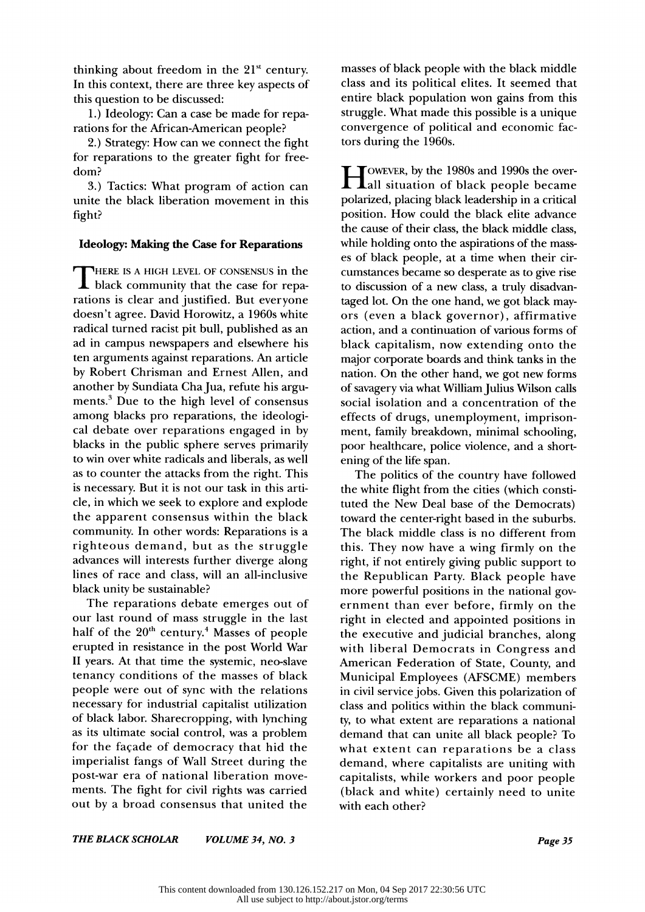thinking about freedom in the  $21<sup>st</sup>$  century. In this context, there are three key aspects of this question to be discussed:

 1.) Ideology: Can a case be made for repa rations for the African-American people?

 2.) Strategy: How can we connect the fight for reparations to the greater fight for free dom?

 3.) Tactics: What program of action can unite the black liberation movement in this fight?

#### Ideology: Making the Case for Reparations

HERE IS A HIGH LEVEL OF CONSENSUS in the black community that the case for repa rations is clear and justified. But everyone doesn't agree. David Horowitz, a 1960s white radical turned racist pit bull, published as an ad in campus newspapers and elsewhere his ten arguments against reparations. An article by Robert Chrisman and Ernest Allen, and another by Sundiata Cha Jua, refute his argu ments.3 Due to the high level of consensus among blacks pro reparations, the ideologi cal debate over reparations engaged in by blacks in the public sphere serves primarily to win over white radicals and liberals, as well as to counter the attacks from the right. This is necessary. But it is not our task in this arti cle, in which we seek to explore and explode the apparent consensus within the black community. In other words: Reparations is a righteous demand, but as the struggle advances will interests further diverge along lines of race and class, will an all-inclusive black unity be sustainable?

 The reparations debate emerges out of our last round of mass struggle in the last half of the 20<sup>th</sup> century.<sup>4</sup> Masses of people erupted in resistance in the post World War II years. At that time the systemic, neo-slave tenancy conditions of the masses of black people were out of sync with the relations necessary for industrial capitalist utilization of black labor. Sharecropping, with lynching as its ultimate social control, was a problem for the façade of democracy that hid the imperialist fangs of Wall Street during the post-war era of national liberation move ments. The fight for civil rights was carried out by a broad consensus that united the

 masses of black people with the black middle class and its political elites. It seemed that entire black population won gains from this struggle. What made this possible is a unique convergence of political and economic fac tors during the 1960s.

TOWEVER, by the 1980s and 1990s the over-Lall situation of black people became polarized, placing black leadership in a critical position. How could the black elite advance the cause of their class, the black middle class, while holding onto the aspirations of the mass es of black people, at a time when their cir cumstances became so desperate as to give rise to discussion of a new class, a truly disadvan taged lot. On the one hand, we got black may ors (even a black governor), affirmative action, and a continuation of various forms of black capitalism, now extending onto the major corporate boards and think tanks in the nation. On the other hand, we got new forms of savagery via what William Julius Wilson calls social isolation and a concentration of the effects of drugs, unemployment, imprison ment, family breakdown, minimal schooling, poor healthcare, police violence, and a short ening of the life span.

 The politics of the country have followed the white flight from the cities (which consti tuted the New Deal base of the Democrats) toward the center-right based in the suburbs. The black middle class is no different from this. They now have a wing firmly on the right, if not entirely giving public support to the Republican Party. Black people have more powerful positions in the national gov ernment than ever before, firmly on the right in elected and appointed positions in the executive and judicial branches, along with liberal Democrats in Congress and American Federation of State, County, and Municipal Employees (AFSCME) members in civil service jobs. Given this polarization of class and politics within the black communi ty, to what extent are reparations a national demand that can unite all black people? To what extent can reparations be a class demand, where capitalists are uniting with capitalists, while workers and poor people (black and white) certainly need to unite with each other?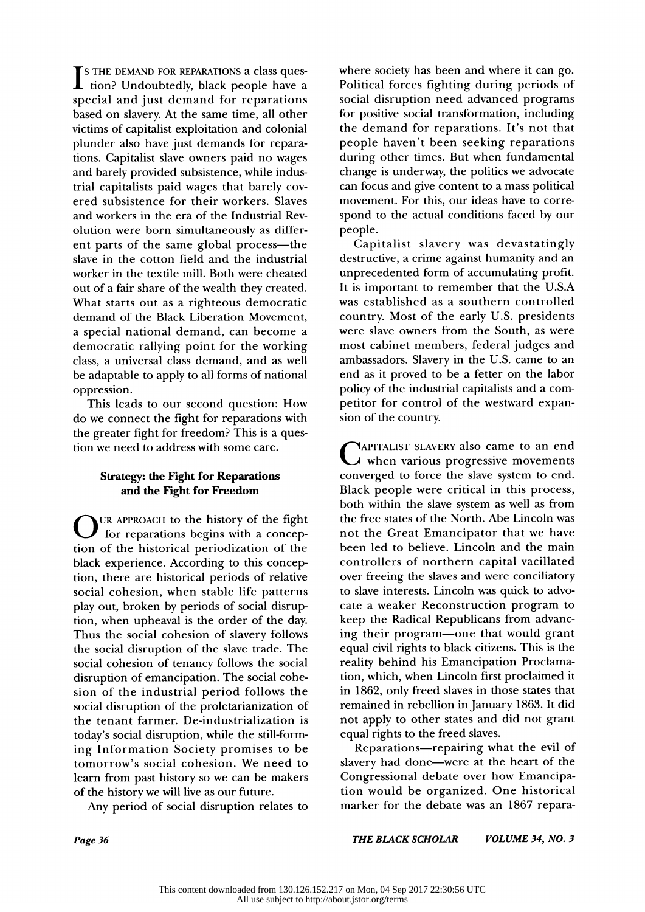THE DEMAND FOR REPARATIONS a class ques tion? Undoubtedly, black people have a special and just demand for reparations based on slavery. At the same time, all other victims of capitalist exploitation and colonial plunder also have just demands for repara tions. Capitalist slave owners paid no wages and barely provided subsistence, while indus trial capitalists paid wages that barely cov ered subsistence for their workers. Slaves and workers in the era of the Industrial Rev olution were born simultaneously as differ ent parts of the same global process-the slave in the cotton field and the industrial worker in the textile mill. Both were cheated out of a fair share of the wealth they created. What starts out as a righteous democratic demand of the Black Liberation Movement, a special national demand, can become a democratic rallying point for the working class, a universal class demand, and as well be adaptable to apply to all forms of national oppression.

 This leads to our second question: How do we connect the fight for reparations with the greater fight for freedom? This is a ques tion we need to address with some care.

#### Strategy: the Fight for Reparations and the Fight for Freedom

UR APPROACH to the history of the fight for reparations begins with a concep tion of the historical periodization of the black experience. According to this concep tion, there are historical periods of relative social cohesion, when stable life patterns play out, broken by periods of social disrup tion, when upheaval is the order of the day. Thus the social cohesion of slavery follows the social disruption of the slave trade. The social cohesion of tenancy follows the social disruption of emancipation. The social cohe sion of the industrial period follows the social disruption of the proletarianization of the tenant farmer. De-industrialization is today's social disruption, while the still-form ing Information Society promises to be tomorrow's social cohesion. We need to learn from past history so we can be makers of the history we will live as our future.

Any period of social disruption relates to

 where society has been and where it can go. Political forces fighting during periods of social disruption need advanced programs for positive social transformation, including the demand for reparations. It's not that people haven't been seeking reparations during other times. But when fundamental change is underway, the politics we advocate can focus and give content to a mass political movement. For this, our ideas have to corre spond to the actual conditions faced by our people.

 Capitalist slavery was devastatingly destructive, a crime against humanity and an unprecedented form of accumulating profit. It is important to remember that the U.S.A was established as a southern controlled country. Most of the early U.S. presidents were slave owners from the South, as were most cabinet members, federal judges and ambassadors. Slavery in the U.S. came to an end as it proved to be a fetter on the labor policy of the industrial capitalists and a com petitor for control of the westward expan sion of the country.

NAPITALIST SLAVERY also came to an end when various progressive movements converged to force the slave system to end. Black people were critical in this process, both within the slave system as well as from the free states of the North. Abe Lincoln was not the Great Emancipator that we have been led to believe. Lincoln and the main controllers of northern capital vacillated over freeing the slaves and were conciliatory to slave interests. Lincoln was quick to advo cate a weaker Reconstruction program to keep the Radical Republicans from advanc ing their program-one that would grant equal civil rights to black citizens. This is the reality behind his Emancipation Proclama tion, which, when Lincoln first proclaimed it in 1862, only freed slaves in those states that remained in rebellion in January 1863. It did not apply to other states and did not grant equal rights to the freed slaves.

Reparations-repairing what the evil of slavery had done—were at the heart of the Congressional debate over how Emancipa tion would be organized. One historical marker for the debate was an 1867 repara-

Page 36 **THE BLACK SCHOLAR VOLUME 34, NO. 3**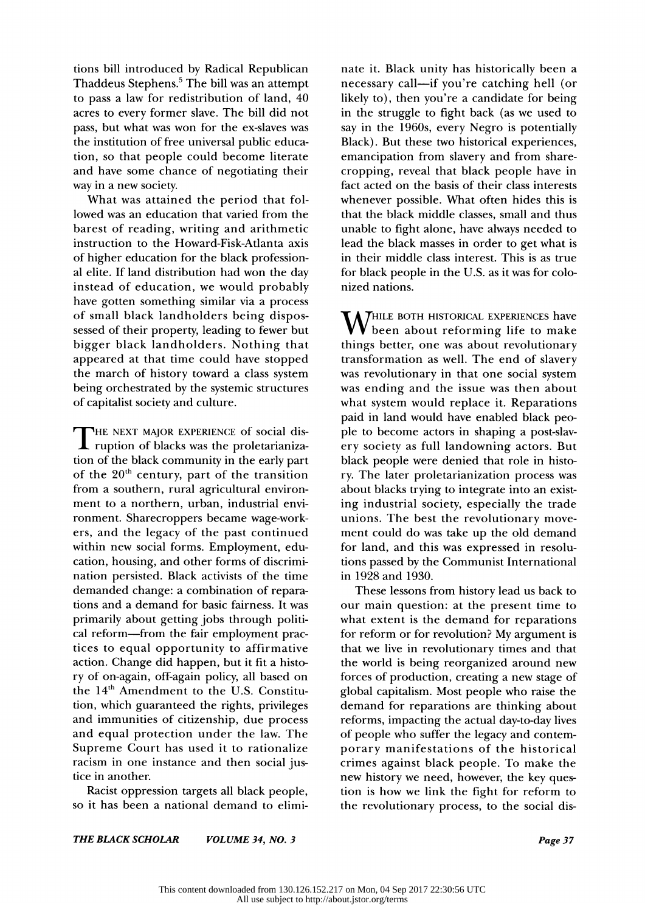tions bill introduced by Radical Republican Thaddeus Stephens.<sup>5</sup> The bill was an attempt to pass a law for redistribution of land, 40 acres to every former slave. The bill did not pass, but what was won for the ex-slaves was the institution of free universal public educa tion, so that people could become literate and have some chance of negotiating their way in a new society.

 What was attained the period that fol lowed was an education that varied from the barest of reading, writing and arithmetic instruction to the Howard-Fisk-Atlanta axis of higher education for the black profession al elite. If land distribution had won the day instead of education, we would probably have gotten something similar via a process of small black landholders being dispos sessed of their property, leading to fewer but bigger black landholders. Nothing that appeared at that time could have stopped the march of history toward a class system being orchestrated by the systemic structures of capitalist society and culture.

THE NEXT MAJOR EXPERIENCE of social dis- $\boldsymbol{\bot}$  ruption of blacks was the proletarianiza tion of the black community in the early part of the  $20<sup>th</sup>$  century, part of the transition from a southern, rural agricultural environ ment to a northern, urban, industrial envi ronment. Sharecroppers became wage-work ers, and the legacy of the past continued within new social forms. Employment, edu cation, housing, and other forms of discrimi nation persisted. Black activists of the time demanded change: a combination of repara tions and a demand for basic fairness. It was primarily about getting jobs through politi cal reform-from the fair employment prac tices to equal opportunity to affirmative action. Change did happen, but it fit a histo ry of on-again, off-again policy, all based on the 14<sup>th</sup> Amendment to the U.S. Constitu tion, which guaranteed the rights, privileges and immunities of citizenship, due process and equal protection under the law. The Supreme Court has used it to rationalize racism in one instance and then social jus tice in another.

 Racist oppression targets all black people, so it has been a national demand to elimi nate it. Black unity has historically been a necessary call-if you're catching hell (or likely to), then you're a candidate for being in the struggle to fight back (as we used to say in the 1960s, every Negro is potentially Black). But these two historical experiences, emancipation from slavery and from share cropping, reveal that black people have in fact acted on the basis of their class interests whenever possible. What often hides this is that the black middle classes, small and thus unable to fight alone, have always needed to lead the black masses in order to get what is in their middle class interest. This is as true for black people in the U.S. as it was for colo nized nations.

 $\bigvee_{k=1}^{\infty}$ HILE BOTH HISTORICAL EXPERIENCES have  $\boldsymbol{V}$  been about reforming life to make things better, one was about revolutionary transformation as well. The end of slavery was revolutionary in that one social system was ending and the issue was then about what system would replace it. Reparations paid in land would have enabled black peo ple to become actors in shaping a post-slav ery society as full landowning actors. But black people were denied that role in histo ry. The later proletarianization process was about blacks trying to integrate into an exist ing industrial society, especially the trade unions. The best the revolutionary move ment could do was take up the old demand for land, and this was expressed in resolu tions passed by the Communist International in 1928 and 1930.

 These lessons from history lead us back to our main question: at the present time to what extent is the demand for reparations for reform or for revolution? My argument is that we live in revolutionary times and that the world is being reorganized around new forces of production, creating a new stage of global capitalism. Most people who raise the demand for reparations are thinking about reforms, impacting the actual day-to-day lives of people who suffer the legacy and contem porary manifestations of the historical crimes against black people. To make the new history we need, however, the key ques tion is how we link the fight for reform to the revolutionary process, to the social dis-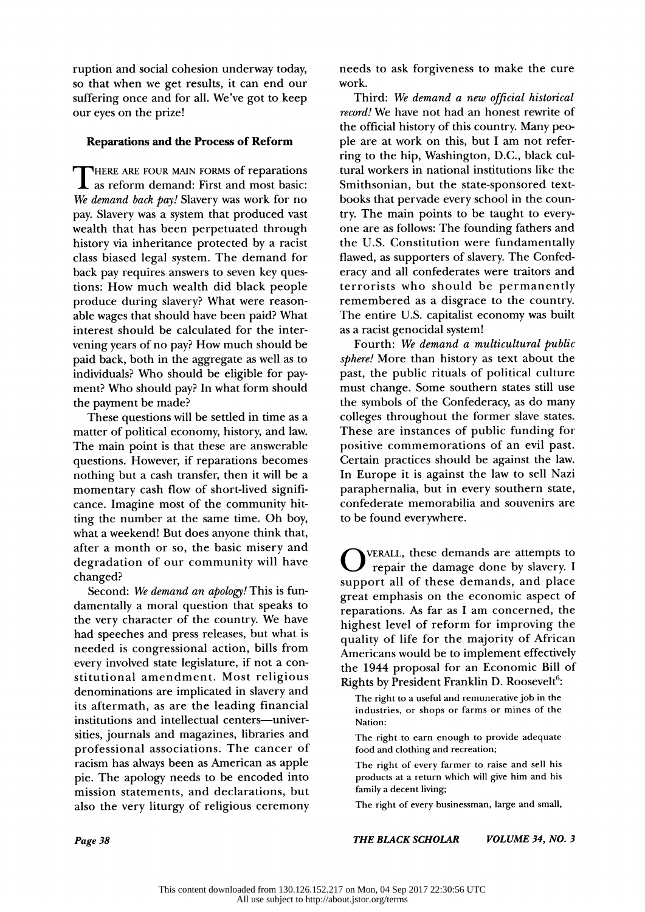ruption and social cohesion underway today, so that when we get results, it can end our suffering once and for all. We've got to keep our eyes on the prize!

#### Reparations and the Process of Reform

HERE ARE FOUR MAIN FORMS of reparations **L** as reform demand: First and most basic: We demand back pay! Slavery was work for no pay. Slavery was a system that produced vast wealth that has been perpetuated through history via inheritance protected by a racist class biased legal system. The demand for back pay requires answers to seven key ques tions: How much wealth did black people produce during slavery? What were reason able wages that should have been paid? What interest should be calculated for the inter vening years of no pay? How much should be paid back, both in the aggregate as well as to individuals? Who should be eligible for pay ment? Who should pay? In what form should the payment be made?

 These questions will be settled in time as a matter of political economy, history, and law. The main point is that these are answerable questions. However, if reparations becomes nothing but a cash transfer, then it will be a momentary cash flow of short-lived signifi cance. Imagine most of the community hit ting the number at the same time. Oh boy, what a weekend! But does anyone think that, after a month or so, the basic misery and degradation of our community will have changed?

Second: We demand an apology! This is fun damentally a moral question that speaks to the very character of the country. We have had speeches and press releases, but what is needed is congressional action, bills from every involved state legislature, if not a con stitutional amendment. Most religious denominations are implicated in slavery and its aftermath, as are the leading financial institutions and intellectual centers—univer sities, journals and magazines, libraries and professional associations. The cancer of racism has always been as American as apple pie. The apology needs to be encoded into mission statements, and declarations, but also the very liturgy of religious ceremony

 needs to ask forgiveness to make the cure work.

 Third: We demand a new official historical record! We have not had an honest rewrite of the official history of this country. Many peo ple are at work on this, but I am not refer ring to the hip, Washington, D.C., black cul tural workers in national institutions like the Smithsonian, but the state-sponsored text books that pervade every school in the coun try. The main points to be taught to every one are as follows: The founding fathers and the U.S. Constitution were fundamentally flawed, as supporters of slavery. The Confed eracy and all confederates were traitors and terrorists who should be permanently remembered as a disgrace to the country. The entire U.S. capitalist economy was built as a racist genocidal system!

 Fourth: We demand a multicultural public sphere! More than history as text about the past, the public rituals of political culture must change. Some southern states still use the symbols of the Confederacy, as do many colleges throughout the former slave states. These are instances of public funding for positive commemorations of an evil past. Certain practices should be against the law. In Europe it is against the law to sell Nazi paraphernalia, but in every southern state, confederate memorabilia and souvenirs are to be found everywhere.

vERALL, these demands are attempts to repair the damage done by slavery. I support all of these demands, and place great emphasis on the economic aspect of reparations. As far as I am concerned, the highest level of reform for improving the quality of life for the majority of African Americans would be to implement effectively the 1944 proposal for an Economic Bill of Rights by President Franklin D. Roosevelt<sup>6</sup>:

 The right to a useful and remunerative job in the industries, or shops or farms or mines of the Nation:

 The right to earn enough to provide adequate food and clothing and recreation;

 The right of every farmer to raise and sell his products at a return which will give him and his family a decent living;

The right of every businessman, large and small,

Page 38 THE BLACK SCHOLAR VOLUME 34, NO. 3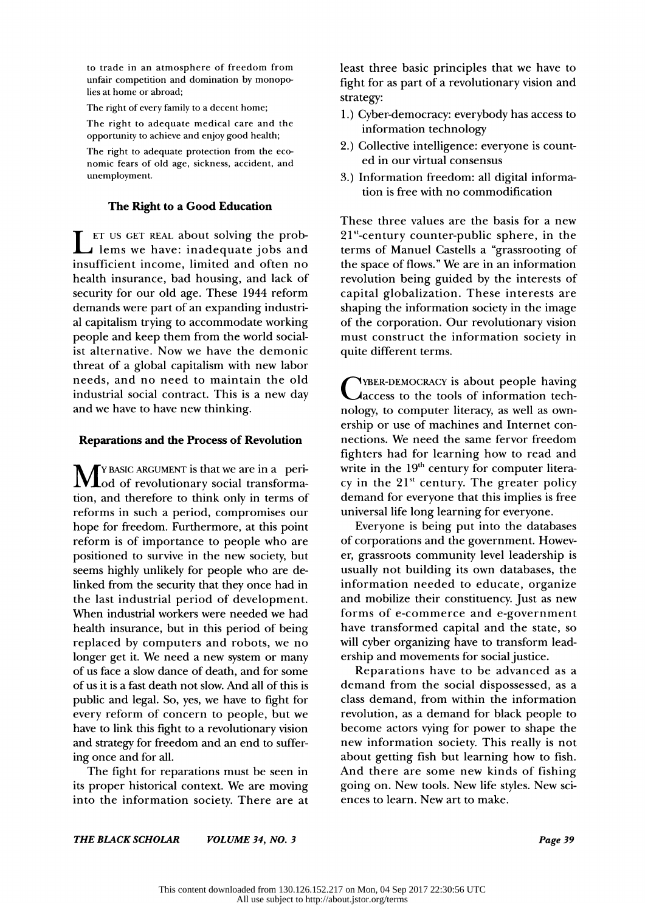to trade in an atmosphere of freedom from unfair competition and domination by monopo lies at home or abroad;

The right of every family to a decent home;

 The right to adequate medical care and the opportunity to achieve and enjoy good health;

 The right to adequate protection from the eco nomic fears of old age, sickness, accident, and unemployment.

#### The Right to a Good Education

et us get real about solving the prob lems we have: inadequate jobs and insufficient income, limited and often no health insurance, bad housing, and lack of security for our old age. These 1944 reform demands were part of an expanding industri al capitalism trying to accommodate working people and keep them from the world social ist alternative. Now we have the demonic threat of a global capitalism with new labor<br>needs, and no need to maintain the old<br> $\bigcap_{YBER-DEMOCRACY}$  is about people having needs, and no need to maintain the old industrial social contract. This is a new day and we have to have new thinking.

#### Reparations and the Process of Revolution

**basic argument is that we are in a peri-** writing od of revolutionary social transforma tion, and therefore to think only in terms of reforms in such a period, compromises our hope for freedom. Furthermore, at this point reform is of importance to people who are positioned to survive in the new society, but seems highly unlikely for people who are de linked from the security that they once had in the last industrial period of development. When industrial workers were needed we had health insurance, but in this period of being replaced by computers and robots, we no longer get it. We need a new system or many of us face a slow dance of death, and for some of us it is a fast death not slow. And all of this is public and legal. So, yes, we have to fight for every reform of concern to people, but we have to link this fight to a revolutionary vision and strategy for freedom and an end to suffer ing once and for all.

 The fight for reparations must be seen in its proper historical context. We are moving into the information society. There are at  least three basic principles that we have to fight for as part of a revolutionary vision and strategy:

- 1.) Cyber-democracy: everybody has access to information technology
- 2.) Collective intelligence: everyone is count ed in our virtual consensus
- 3.) Information freedom: all digital informa tion is free with no commodification

 These three values are the basis for a new 21st-century counter-public sphere, in the terms of Manuel Castells a "grassrooting of the space of flows." We are in an information revolution being guided by the interests of capital globalization. These interests are shaping the information society in the image of the corporation. Our revolutionary vision must construct the information society in quite different terms.

Aaccess to the tools of information tech nology, to computer literacy, as well as own ership or use of machines and Internet con nections. We need the same fervor freedom fighters had for learning how to read and write in the  $19<sup>th</sup>$  century for computer literacy in the  $21^{st}$  century. The greater policy demand for everyone that this implies is free universal life long learning for everyone.

 Everyone is being put into the databases of corporations and the government. Howev er, grassroots community level leadership is usually not building its own databases, the information needed to educate, organize and mobilize their constituency. Just as new forms of e-commerce and e-government have transformed capital and the state, so will cyber organizing have to transform lead ership and movements for social justice.

 Reparations have to be advanced as a demand from the social dispossessed, as a class demand, from within the information revolution, as a demand for black people to become actors vying for power to shape the new information society. This really is not about getting fish but learning how to fish. And there are some new kinds of fishing going on. New tools. New life styles. New sci ences to learn. New art to make.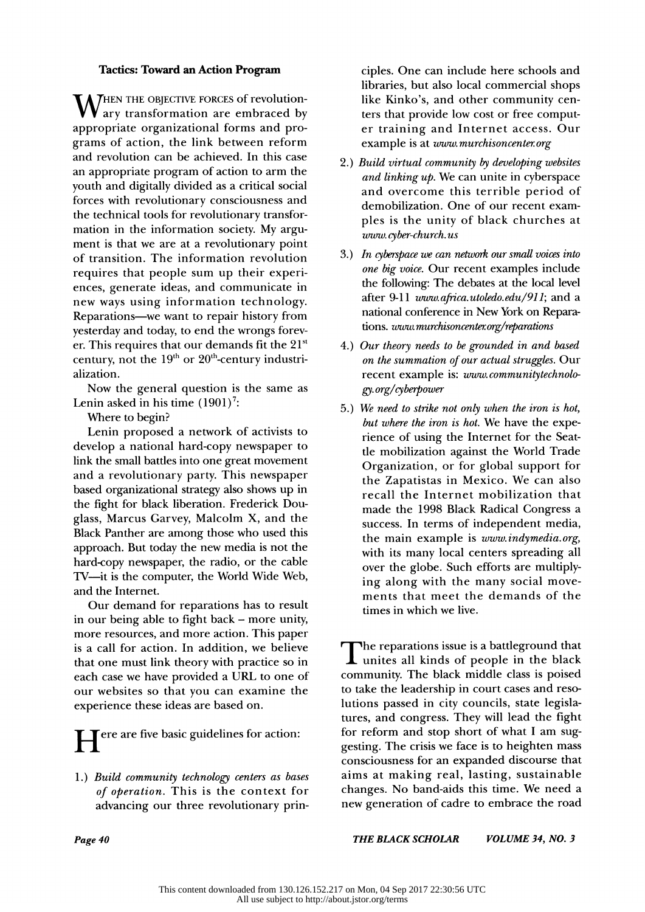#### Tactics: Toward an Action Program

THEN THE OBJECTIVE FORCES of revolution- $\bf{V}$  ary transformation are embraced by appropriate organizational forms and pro grams of action, the link between reform and revolution can be achieved. In this case an appropriate program of action to arm the youth and digitally divided as a critical social forces with revolutionary consciousness and the technical tools for revolutionary transfor mation in the information society. My argu ment is that we are at a revolutionary point of transition. The information revolution requires that people sum up their experi ences, generate ideas, and communicate in new ways using information technology. Reparations—we want to repair history from yesterday and today, to end the wrongs forev er. This requires that our demands fit the 21<sup>st</sup> century, not the  $19<sup>th</sup>$  or  $20<sup>th</sup>$ -century industrialization.

 Now the general question is the same as Lenin asked in his time  $(1901)^7$ :

Where to begin?

 Lenin proposed a network of activists to develop a national hard-copy newspaper to link the small battles into one great movement and a revolutionary party. This newspaper based organizational strategy also shows up in the fight for black liberation. Frederick Dou glass, Marcus Garvey, Malcolm X, and the Black Panther are among those who used this approach. But today the new media is not the hard-copy newspaper, the radio, or the cable TV--it is the computer, the World Wide Web, and the Internet.

 Our demand for reparations has to result in our being able to fight back – more unity, more resources, and more action. This paper is a call for action. In addition, we believe that one must link theory with practice so in each case we have provided a URL to one of our websites so that you can examine the experience these ideas are based on.

ere are five basic guidelines for action:

 1.) Build community technology centers as bases of operation. This is the context for advancing our three revolutionary prin ciples. One can include here schools and libraries, but also local commercial shops like Kinko's, and other community cen ters that provide low cost or free comput er training and Internet access. Our example is at www.murchisoncenter.org

- 2.) Build virtual community by developing websites and linking up. We can unite in cyberspace and overcome this terrible period of demobilization. One of our recent exam ples is the unity of black churches at www. cyber-church. us
- 3.) In cyberspace we can network our small voices into one big voice. Our recent examples include the following: The debates at the local level after 9-11 www.africa.utoledo.edu/91 1; and a national conference in New York on Repara tions. www.murchisoncenter.org/reparations
- 4.) Our theory needs to be grounded in and based on the summation of our actual struggles. Our recent example is: www.communitytechnology, org/cyberpower
- 5.) We need to strike not only when the iron is hot, but where the iron is hot. We have the expe rience of using the Internet for the Seat tle mobilization against the World Trade Organization, or for global support for the Zapatistas in Mexico. We can also recall the Internet mobilization that made the 1998 Black Radical Congress a success. In terms of independent media, the main example is www.indymedia.org, with its many local centers spreading all over the globe. Such efforts are multiply ing along with the many social move ments that meet the demands of the times in which we live.

The reparations issue is a battleground that  $\boldsymbol{\perp}$  unites all kinds of people in the black community. The black middle class is poised to take the leadership in court cases and reso lutions passed in city councils, state legisla tures, and congress. They will lead the fight for reform and stop short of what I am sug gesting. The crisis we face is to heighten mass consciousness for an expanded discourse that aims at making real, lasting, sustainable changes. No band-aids this time. We need a new generation of cadre to embrace the road

Page 40 **THE BLACK SCHOLAR VOLUME 34, NO. 3**